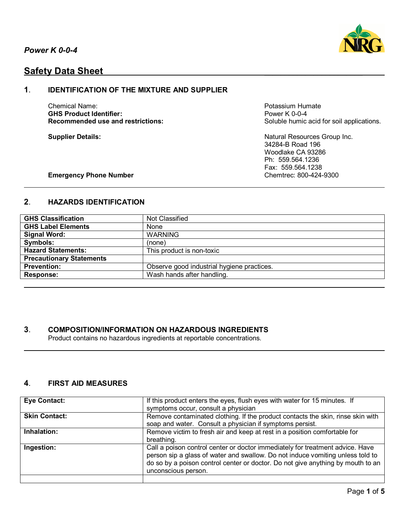

# **Safety Data Sheet**

## **1**. **IDENTIFICATION OF THE MIXTURE AND SUPPLIER**

Chemical Name:<br>
GHS Product Identifier:<br>
GHS Product Identifier:<br>
Power K 0-0-4 **GHS Product Identifier:**<br>Recommended use and restrictions:

Soluble humic acid for soil applications.

**Supplier Details:** Natural Resources Group Inc. 34284-B Road 196 Woodlake CA 93286 Ph: 559.564.1236 Fax: 559.564.1238

#### **Emergency Phone Number Chemergency Phone Number Chemtrec: 800-424-9300**

## **2**. **HAZARDS IDENTIFICATION**

| <b>GHS Classification</b>       | Not Classified                             |
|---------------------------------|--------------------------------------------|
| <b>GHS Label Elements</b>       | None                                       |
| <b>Signal Word:</b>             | <b>WARNING</b>                             |
| Symbols:                        | (none)                                     |
| <b>Hazard Statements:</b>       | This product is non-toxic                  |
| <b>Precautionary Statements</b> |                                            |
| <b>Prevention:</b>              | Observe good industrial hygiene practices. |
| <b>Response:</b>                | Wash hands after handling.                 |

## **3**. **COMPOSITION/INFORMATION ON HAZARDOUS INGREDIENTS**

Product contains no hazardous ingredients at reportable concentrations.

## **4**. **FIRST AID MEASURES**

| <b>Eye Contact:</b>  | If this product enters the eyes, flush eyes with water for 15 minutes. If<br>symptoms occur, consult a physician                                                                                                                                                          |
|----------------------|---------------------------------------------------------------------------------------------------------------------------------------------------------------------------------------------------------------------------------------------------------------------------|
| <b>Skin Contact:</b> | Remove contaminated clothing. If the product contacts the skin, rinse skin with<br>soap and water. Consult a physician if symptoms persist.                                                                                                                               |
| Inhalation:          | Remove victim to fresh air and keep at rest in a position comfortable for<br>breathing.                                                                                                                                                                                   |
| Ingestion:           | Call a poison control center or doctor immediately for treatment advice. Have<br>person sip a glass of water and swallow. Do not induce vomiting unless told to<br>do so by a poison control center or doctor. Do not give anything by mouth to an<br>unconscious person. |
|                      |                                                                                                                                                                                                                                                                           |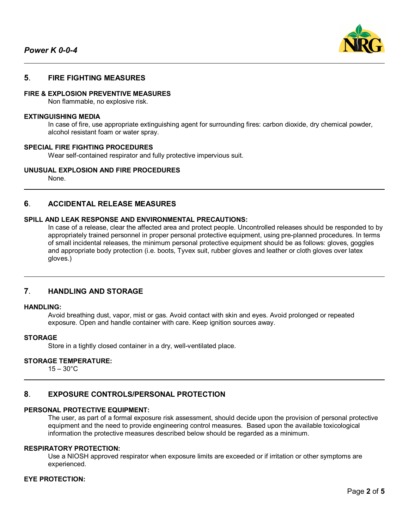

## **5**. **FIRE FIGHTING MEASURES**

#### **FIRE & EXPLOSION PREVENTIVE MEASURES**

Non flammable, no explosive risk.

#### **EXTINGUISHING MEDIA**

In case of fire, use appropriate extinguishing agent for surrounding fires: carbon dioxide, dry chemical powder, alcohol resistant foam or water spray.

### **SPECIAL FIRE FIGHTING PROCEDURES**

Wear self-contained respirator and fully protective impervious suit.

#### **UNUSUAL EXPLOSION AND FIRE PROCEDURES**

None.

#### **6**. **ACCIDENTAL RELEASE MEASURES**

#### **SPILL AND LEAK RESPONSE AND ENVIRONMENTAL PRECAUTIONS:**

In case of a release, clear the affected area and protect people. Uncontrolled releases should be responded to by appropriately trained personnel in proper personal protective equipment, using pre-planned procedures. In terms of small incidental releases, the minimum personal protective equipment should be as follows: gloves, goggles and appropriate body protection (i.e. boots, Tyvex suit, rubber gloves and leather or cloth gloves over latex gloves.)

## **7**. **HANDLING AND STORAGE**

#### **HANDLING:**

Avoid breathing dust, vapor, mist or gas. Avoid contact with skin and eyes. Avoid prolonged or repeated exposure. Open and handle container with care. Keep ignition sources away.

#### **STORAGE**

Store in a tightly closed container in a dry, well-ventilated place.

#### **STORAGE TEMPERATURE:**

 $15 - 30^{\circ}$ C

#### **8**. **EXPOSURE CONTROLS/PERSONAL PROTECTION**

#### **PERSONAL PROTECTIVE EQUIPMENT:**

The user, as part of a formal exposure risk assessment, should decide upon the provision of personal protective equipment and the need to provide engineering control measures. Based upon the available toxicological information the protective measures described below should be regarded as a minimum.

#### **RESPIRATORY PROTECTION:**

Use a NIOSH approved respirator when exposure limits are exceeded or if irritation or other symptoms are experienced.

#### **EYE PROTECTION:**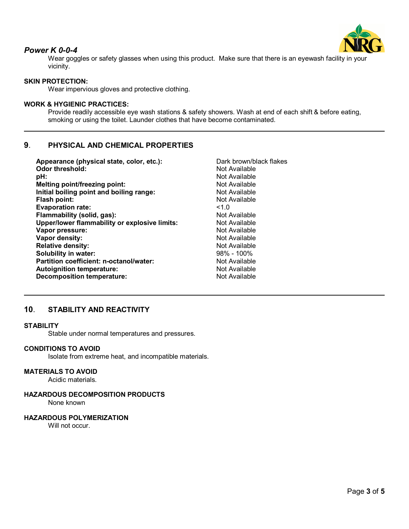

## *Power K 0-0-4*

Wear goggles or safety glasses when using this product. Make sure that there is an eyewash facility in your vicinity.

## **SKIN PROTECTION:**

Wear impervious gloves and protective clothing.

### **WORK & HYGIENIC PRACTICES:**

Provide readily accessible eye wash stations & safety showers. Wash at end of each shift & before eating, smoking or using the toilet. Launder clothes that have become contaminated.

## **9**. **PHYSICAL AND CHEMICAL PROPERTIES**

| Appearance (physical state, color, etc.):     | Dark brown/black flakes |
|-----------------------------------------------|-------------------------|
| <b>Odor threshold:</b>                        | Not Available           |
| pH:                                           | Not Available           |
| <b>Melting point/freezing point:</b>          | Not Available           |
| Initial boiling point and boiling range:      | Not Available           |
| <b>Flash point:</b>                           | Not Available           |
| <b>Evaporation rate:</b>                      | 1.0                     |
| Flammability (solid, gas):                    | Not Available           |
| Upper/lower flammability or explosive limits: | Not Available           |
| Vapor pressure:                               | Not Available           |
| Vapor density:                                | Not Available           |
| <b>Relative density:</b>                      | Not Available           |
| Solubility in water:                          | $98\% - 100\%$          |
| Partition coefficient: n-octanol/water:       | Not Available           |
| <b>Autoignition temperature:</b>              | Not Available           |
| <b>Decomposition temperature:</b>             | Not Available           |

## **10**. **STABILITY AND REACTIVITY**

### **STABILITY**

Stable under normal temperatures and pressures.

#### **CONDITIONS TO AVOID**

Isolate from extreme heat, and incompatible materials.

## **MATERIALS TO AVOID**

Acidic materials.

## **HAZARDOUS DECOMPOSITION PRODUCTS**

None known

## **HAZARDOUS POLYMERIZATION**

Will not occur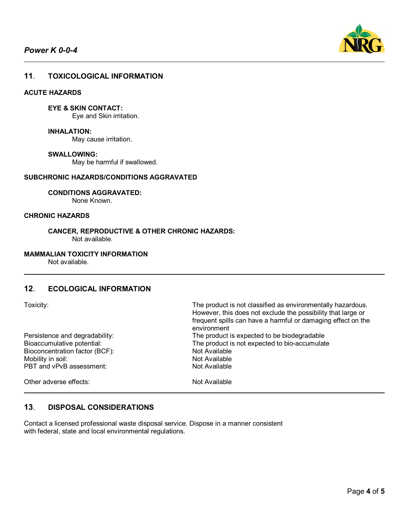

## **11**. **TOXICOLOGICAL INFORMATION**

## **ACUTE HAZARDS**

**EYE & SKIN CONTACT:**

Eye and Skin irritation.

**INHALATION:** May cause irritation.

#### **SWALLOWING:**

May be harmful if swallowed.

#### **SUBCHRONIC HAZARDS/CONDITIONS AGGRAVATED**

**CONDITIONS AGGRAVATED:**

None Known.

#### **CHRONIC HAZARDS**

**CANCER, REPRODUCTIVE & OTHER CHRONIC HAZARDS:** Not available.

#### **MAMMALIAN TOXICITY INFORMATION**

Not available.

## **12**. **ECOLOGICAL INFORMATION**

**13**. **DISPOSAL CONSIDERATIONS**

| <b>OXICITY</b> |  |
|----------------|--|

Bioconcentration factor (BCF): Not Available<br>Mobility in soil: Not Available Mobility in soil:<br>
PBT and vPvB assessment:<br>
PBT and vPvB assessment: PBT and vPvB assessment:

Other adverse effects: Not Available

The product is not classified as environmentally hazardous. However, this does not exclude the possibility that large or frequent spills can have a harmful or damaging effect on the environment Persistence and degradability:<br>
Bioaccumulative potential:<br>
The product is not expected to bio-accumulative potential: The product is not expected to bio-accumulate

Contact a licensed professional waste disposal service. Dispose in a manner consistent with federal, state and local environmental regulations.